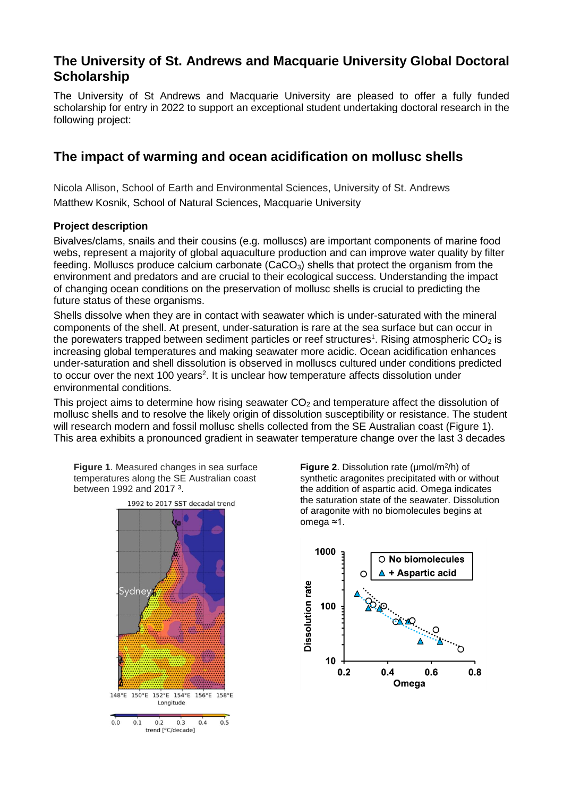# **The University of St. Andrews and Macquarie University Global Doctoral Scholarship**

The University of St Andrews and Macquarie University are pleased to offer a fully funded scholarship for entry in 2022 to support an exceptional student undertaking doctoral research in the following project:

# **The impact of warming and ocean acidification on mollusc shells**

Nicola Allison, School of Earth and Environmental Sciences, University of St. Andrews Matthew Kosnik, School of Natural Sciences, Macquarie University

# **Project description**

Bivalves/clams, snails and their cousins (e.g. molluscs) are important components of marine food webs, represent a majority of global aquaculture production and can improve water quality by filter feeding. Molluscs produce calcium carbonate (CaCO<sub>3</sub>) shells that protect the organism from the environment and predators and are crucial to their ecological success. Understanding the impact of changing ocean conditions on the preservation of mollusc shells is crucial to predicting the future status of these organisms.

Shells dissolve when they are in contact with seawater which is under-saturated with the mineral components of the shell. At present, under-saturation is rare at the sea surface but can occur in the porewaters trapped between sediment particles or reef structures<sup>1</sup>. Rising atmospheric CO<sub>2</sub> is increasing global temperatures and making seawater more acidic. Ocean acidification enhances under-saturation and shell dissolution is observed in molluscs cultured under conditions predicted to occur over the next 100 years<sup>2</sup>. It is unclear how temperature affects dissolution under environmental conditions.

This project aims to determine how rising seawater  $CO<sub>2</sub>$  and temperature affect the dissolution of mollusc shells and to resolve the likely origin of dissolution susceptibility or resistance. The student will research modern and fossil mollusc shells collected from the SE Australian coast (Figure 1). This area exhibits a pronounced gradient in seawater temperature change over the last 3 decades

**Figure 1**. Measured changes in sea surface temperatures along the SE Australian coast between 1992 and 2017<sup>3</sup>.



**Figure 2**. Dissolution rate (µmol/m<sup>2</sup> /h) of synthetic aragonites precipitated with or without the addition of aspartic acid. Omega indicates the saturation state of the seawater. Dissolution of aragonite with no biomolecules begins at omega ≈1.

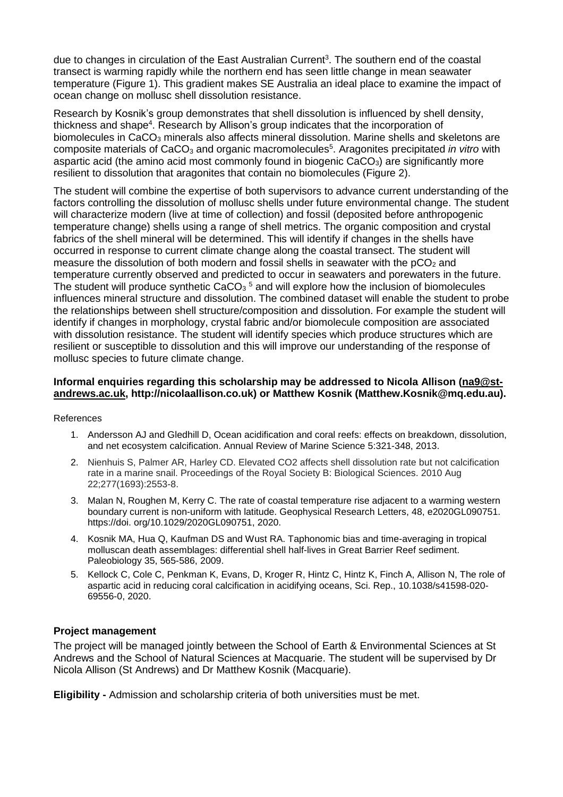due to changes in circulation of the East Australian Current<sup>3</sup>. The southern end of the coastal transect is warming rapidly while the northern end has seen little change in mean seawater temperature (Figure 1). This gradient makes SE Australia an ideal place to examine the impact of ocean change on mollusc shell dissolution resistance.

Research by Kosnik's group demonstrates that shell dissolution is influenced by shell density, thickness and shape<sup>4</sup>. Research by Allison's group indicates that the incorporation of biomolecules in CaCO<sub>3</sub> minerals also affects mineral dissolution. Marine shells and skeletons are composite materials of CaCO<sub>3</sub> and organic macromolecules<sup>5</sup>. Aragonites precipitated *in vitro* with aspartic acid (the amino acid most commonly found in biogenic  $CaCO<sub>3</sub>$ ) are significantly more resilient to dissolution that aragonites that contain no biomolecules (Figure 2).

The student will combine the expertise of both supervisors to advance current understanding of the factors controlling the dissolution of mollusc shells under future environmental change. The student will characterize modern (live at time of collection) and fossil (deposited before anthropogenic temperature change) shells using a range of shell metrics. The organic composition and crystal fabrics of the shell mineral will be determined. This will identify if changes in the shells have occurred in response to current climate change along the coastal transect. The student will measure the dissolution of both modern and fossil shells in seawater with the  $pCO<sub>2</sub>$  and temperature currently observed and predicted to occur in seawaters and porewaters in the future. The student will produce synthetic CaCO<sub>3</sub><sup>5</sup> and will explore how the inclusion of biomolecules influences mineral structure and dissolution. The combined dataset will enable the student to probe the relationships between shell structure/composition and dissolution. For example the student will identify if changes in morphology, crystal fabric and/or biomolecule composition are associated with dissolution resistance. The student will identify species which produce structures which are resilient or susceptible to dissolution and this will improve our understanding of the response of mollusc species to future climate change.

### **Informal enquiries regarding this scholarship may be addressed to Nicola Allison [\(na9@st](mailto:na9@st-andrews.ac.uk)[andrews.ac.uk,](mailto:na9@st-andrews.ac.uk) http://nicolaallison.co.uk) or Matthew Kosnik (Matthew.Kosnik@mq.edu.au).**

References

- 1. Andersson AJ and Gledhill D, Ocean acidification and coral reefs: effects on breakdown, dissolution, and net ecosystem calcification. Annual Review of Marine Science 5:321-348, 2013.
- 2. Nienhuis S, Palmer AR, Harley CD. Elevated CO2 affects shell dissolution rate but not calcification rate in a marine snail. Proceedings of the Royal Society B: Biological Sciences. 2010 Aug 22;277(1693):2553-8.
- 3. Malan N, Roughen M, Kerry C. The rate of coastal temperature rise adjacent to a warming western boundary current is non-uniform with latitude. Geophysical Research Letters, 48, e2020GL090751. https://doi. org/10.1029/2020GL090751, 2020.
- 4. Kosnik MA, Hua Q, Kaufman DS and Wust RA. Taphonomic bias and time-averaging in tropical molluscan death assemblages: differential shell half-lives in Great Barrier Reef sediment. Paleobiology 35, 565-586, 2009.
- 5. Kellock C, Cole C, Penkman K, Evans, D, Kroger R, Hintz C, Hintz K, Finch A, Allison N, The role of aspartic acid in reducing coral calcification in acidifying oceans, Sci. Rep., 10.1038/s41598-020- 69556-0, 2020.

### **Project management**

The project will be managed jointly between the School of Earth & Environmental Sciences at St Andrews and the School of Natural Sciences at Macquarie. The student will be supervised by Dr Nicola Allison (St Andrews) and Dr Matthew Kosnik (Macquarie).

**Eligibility -** Admission and scholarship criteria of both universities must be met.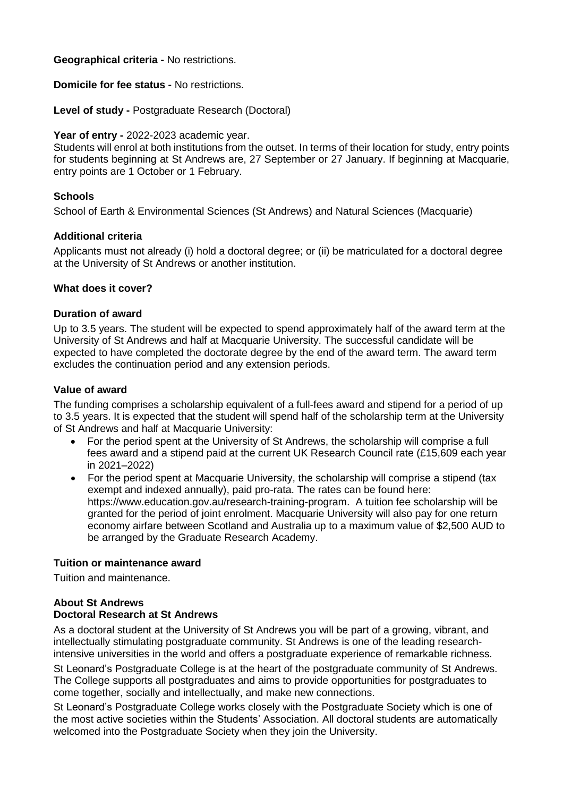**Geographical criteria -** No restrictions.

**Domicile for fee status -** No restrictions.

**Level of study -** Postgraduate Research (Doctoral)

# **Year of entry -** 2022-2023 academic year.

Students will enrol at both institutions from the outset. In terms of their location for study, entry points for students beginning at St Andrews are, 27 September or 27 January. If beginning at Macquarie, entry points are 1 October or 1 February.

# **Schools**

School of Earth & Environmental Sciences (St Andrews) and Natural Sciences (Macquarie)

### **Additional criteria**

Applicants must not already (i) hold a doctoral degree; or (ii) be matriculated for a doctoral degree at the University of St Andrews or another institution.

# **What does it cover?**

### **Duration of award**

Up to 3.5 years. The student will be expected to spend approximately half of the award term at the University of St Andrews and half at Macquarie University. The successful candidate will be expected to have completed the doctorate degree by the end of the award term. The award term excludes the continuation period and any extension periods.

# **Value of award**

The funding comprises a scholarship equivalent of a full-fees award and stipend for a period of up to 3.5 years. It is expected that the student will spend half of the scholarship term at the University of St Andrews and half at Macquarie University:

- For the period spent at the University of St Andrews, the scholarship will comprise a full fees award and a stipend paid at the current UK Research Council rate (£15,609 each year in 2021–2022)
- For the period spent at Macquarie University, the scholarship will comprise a stipend (tax exempt and indexed annually), paid pro-rata. The rates can be found here: https://www.education.gov.au/research-training-program. A tuition fee scholarship will be granted for the period of joint enrolment. Macquarie University will also pay for one return economy airfare between Scotland and Australia up to a maximum value of \$2,500 AUD to be arranged by the Graduate Research Academy.

### **Tuition or maintenance award**

Tuition and maintenance.

# **About St Andrews**

# **Doctoral Research at St Andrews**

As a doctoral student at the University of St Andrews you will be part of a growing, vibrant, and intellectually stimulating postgraduate community. St Andrews is one of the leading researchintensive universities in the world and offers a postgraduate experience of remarkable richness.

St Leonard's Postgraduate College is at the heart of the postgraduate community of St Andrews. The College supports all postgraduates and aims to provide opportunities for postgraduates to come together, socially and intellectually, and make new connections.

St Leonard's Postgraduate College works closely with the Postgraduate Society which is one of the most active societies within the Students' Association. All doctoral students are automatically welcomed into the Postgraduate Society when they join the University.